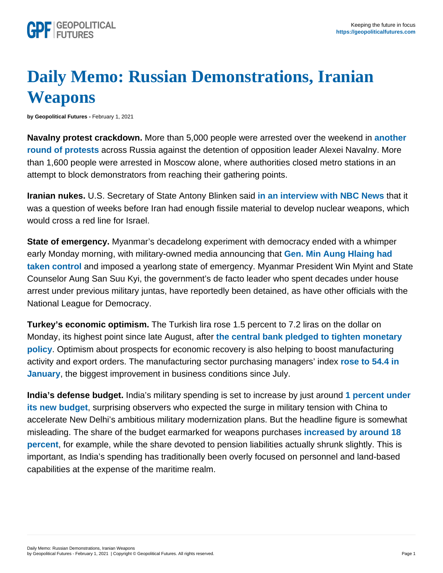## Daily Memo: Russian Demonstrations, Iranian **Weapons**

by Geopolitical Futures - February 1, 2021

Navalny protest crackdown. More than 5,000 people were arrested over the weekend in [another](https://www.dw.com/en/russia-more-than-5000-arrested-as-alexei-navalny-supporters-defy-protest-ban-says-monitor/a-56394521)  [round of protests](https://www.dw.com/en/russia-more-than-5000-arrested-as-alexei-navalny-supporters-defy-protest-ban-says-monitor/a-56394521) across Russia against the detention of opposition leader Alexei Navalny. More than 1,600 people were arrested in Moscow alone, where authorities closed metro stations in an attempt to block demonstrators from reaching their gathering points.

Iranian nukes. U.S. Secretary of State Antony Blinken said [in an interview with NBC News](https://www.nbcnews.com/politics/politics-news/blinken-criticizes-putin-crackdown-navalny-protesters-n1256312) that it was a question of weeks before Iran had enough fissile material to develop nuclear weapons, which would cross a red line for Israel.

State of emergency. Myanmar's decadelong experiment with democracy ended with a whimper early Monday morning, with military-owned media announcing that [Gen. Min Aung Hlaing had](https://www.irrawaddy.com/news/burma/myanmar-military-seizes-power.html)  [taken control](https://www.irrawaddy.com/news/burma/myanmar-military-seizes-power.html) and imposed a yearlong state of emergency. Myanmar President Win Myint and State Counselor Aung San Suu Kyi, the government's de facto leader who spent decades under house arrest under previous military juntas, have reportedly been detained, as have other officials with the National League for Democracy.

Turkey's economic optimism. The Turkish lira rose 1.5 percent to 7.2 liras on the dollar on Monday, its highest point since late August, after [the central bank pledged to tighten monetary](https://ahvalnews.com/turkish-lira/turkish-lira-hits-five-month-high-central-bank-pledges-industry-uptick)  [policy](https://ahvalnews.com/turkish-lira/turkish-lira-hits-five-month-high-central-bank-pledges-industry-uptick) . Optimism about prospects for economic recovery is also helping to boost manufacturing activity and export orders. The manufacturing sector purchasing managers' index [rose to 54.4 in](https://www.aa.com.tr/en/economy/turkey-manufacturing-pmi-signals-strong-improvement/2129590)  [January](https://www.aa.com.tr/en/economy/turkey-manufacturing-pmi-signals-strong-improvement/2129590) , the biggest improvement in business conditions since July.

India's defense budget. India's military spending is set to increase by just around [1 percent under](https://www.bloomberg.com/news/articles/2021-02-01/india-chokes-on-defense-spending-even-as-china-standoff-simmers)  [its new budget](https://www.bloomberg.com/news/articles/2021-02-01/india-chokes-on-defense-spending-even-as-china-standoff-simmers) , surprising observers who expected the surge in military tension with China to accelerate New Delhi's ambitious military modernization plans. But the headline figure is somewhat misleading. The share of the budget earmarked for weapons purchases [increased by around 18](https://www.indiatoday.in/business/budget-2021/story/defence-army-budget-2021-22-border-row-china-sitharaman-1764766-2021-02-01)  [percent](https://www.indiatoday.in/business/budget-2021/story/defence-army-budget-2021-22-border-row-china-sitharaman-1764766-2021-02-01) , for example, while the share devoted to pension liabilities actually shrunk slightly. This is important, as India's spending has traditionally been overly focused on personnel and land-based capabilities at the expense of the maritime realm.